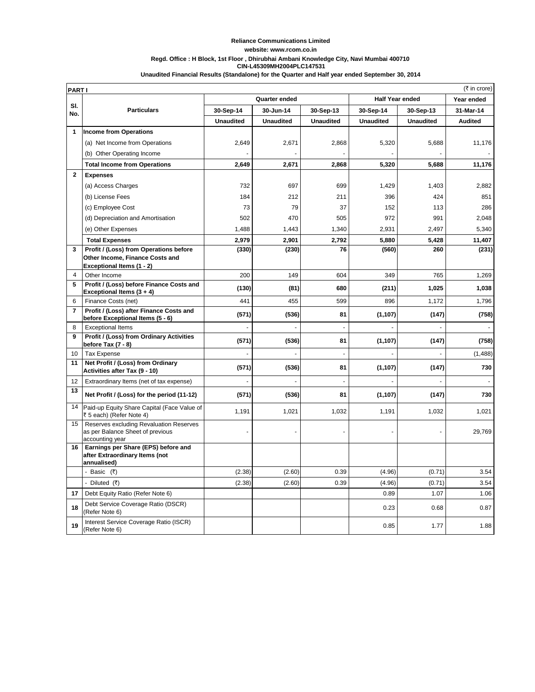## **Reliance Communications Limited website: www.rcom.co.in Regd. Office : H Block, 1st Floor , Dhirubhai Ambani Knowledge City, Navi Mumbai 400710 CIN-L45309MH2004PLC147531 Unaudited Financial Results (Standalone) for the Quarter and Half year ended September 30, 2014**

|                | (₹ in crore)<br><b>PARTI</b>                                                                   |                  |           |                  |                        |           |                |
|----------------|------------------------------------------------------------------------------------------------|------------------|-----------|------------------|------------------------|-----------|----------------|
|                |                                                                                                | Quarter ended    |           |                  | <b>Half Year ended</b> |           | Year ended     |
| SI.<br>No.     | <b>Particulars</b>                                                                             | 30-Sep-14        | 30-Jun-14 | 30-Sep-13        | 30-Sep-14              | 30-Sep-13 | 31-Mar-14      |
|                |                                                                                                | <b>Unaudited</b> | Unaudited | <b>Unaudited</b> | <b>Unaudited</b>       | Unaudited | <b>Audited</b> |
| $\mathbf{1}$   | <b>Income from Operations</b>                                                                  |                  |           |                  |                        |           |                |
|                | (a) Net Income from Operations                                                                 | 2,649            | 2,671     | 2,868            | 5,320                  | 5,688     | 11,176         |
|                | (b) Other Operating Income                                                                     |                  |           |                  |                        |           |                |
|                | <b>Total Income from Operations</b>                                                            | 2,649            | 2,671     | 2,868            | 5,320                  | 5,688     | 11,176         |
| $\mathbf{2}$   | <b>Expenses</b>                                                                                |                  |           |                  |                        |           |                |
|                | (a) Access Charges                                                                             | 732              | 697       | 699              | 1,429                  | 1,403     | 2,882          |
|                | (b) License Fees                                                                               | 184              | 212       | 211              | 396                    | 424       | 851            |
|                | (c) Employee Cost                                                                              | 73               | 79        | 37               | 152                    | 113       | 286            |
|                | (d) Depreciation and Amortisation                                                              | 502              | 470       | 505              | 972                    | 991       | 2,048          |
|                | (e) Other Expenses                                                                             | 1,488            | 1,443     | 1,340            | 2,931                  | 2,497     | 5,340          |
|                | <b>Total Expenses</b>                                                                          | 2,979            | 2,901     | 2,792            | 5,880                  | 5,428     | 11,407         |
| 3              | Profit / (Loss) from Operations before                                                         | (330)            | (230)     | 76               | (560)                  | 260       | (231)          |
|                | Other Income, Finance Costs and                                                                |                  |           |                  |                        |           |                |
| $\overline{4}$ | Exceptional Items (1 - 2)<br>Other Income                                                      | 200              | 149       | 604              | 349                    | 765       | 1,269          |
| 5              | Profit / (Loss) before Finance Costs and                                                       |                  |           |                  |                        |           |                |
|                | Exceptional Items (3 + 4)                                                                      | (130)            | (81)      | 680              | (211)                  | 1,025     | 1,038          |
| 6              | Finance Costs (net)                                                                            | 441              | 455       | 599              | 896                    | 1,172     | 1,796          |
| $\overline{7}$ | Profit / (Loss) after Finance Costs and<br>before Exceptional Items (5 - 6)                    | (571)            | (536)     | 81               | (1, 107)               | (147)     | (758)          |
| 8              | <b>Exceptional Items</b>                                                                       |                  | ÷,        | $\sim$           |                        |           |                |
| 9              | Profit / (Loss) from Ordinary Activities<br>before Tax (7 - 8)                                 | (571)            | (536)     | 81               | (1, 107)               | (147)     | (758)          |
| 10             | <b>Tax Expense</b>                                                                             |                  |           |                  |                        |           | (1, 488)       |
| 11             | Net Profit / (Loss) from Ordinary<br>Activities after Tax (9 - 10)                             | (571)            | (536)     | 81               | (1, 107)               | (147)     | 730            |
| 12             | Extraordinary Items (net of tax expense)                                                       |                  |           | ÷.               |                        |           |                |
| 13             | Net Profit / (Loss) for the period (11-12)                                                     | (571)            | (536)     | 81               | (1, 107)               | (147)     | 730            |
| 14             | Paid-up Equity Share Capital (Face Value of<br>₹ 5 each) (Refer Note 4)                        | 1,191            | 1,021     | 1,032            | 1,191                  | 1,032     | 1,021          |
| 15             | Reserves excluding Revaluation Reserves<br>as per Balance Sheet of previous<br>accounting year |                  |           |                  |                        |           | 29,769         |
| 16             | Earnings per Share (EPS) before and<br>after Extraordinary Items (not<br>annualised)           |                  |           |                  |                        |           |                |
|                | - Basic (₹)                                                                                    | (2.38)           | (2.60)    | 0.39             | (4.96)                 | (0.71)    | 3.54           |
|                | - Diluted (₹)                                                                                  | (2.38)           | (2.60)    | 0.39             | (4.96)                 | (0.71)    | 3.54           |
| 17             | Debt Equity Ratio (Refer Note 6)                                                               |                  |           |                  | 0.89                   | 1.07      | 1.06           |
| 18             | Debt Service Coverage Ratio (DSCR)<br>(Refer Note 6)                                           |                  |           |                  | 0.23                   | 0.68      | 0.87           |
| 19             | Interest Service Coverage Ratio (ISCR)<br>(Refer Note 6)                                       |                  |           |                  | 0.85                   | 1.77      | 1.88           |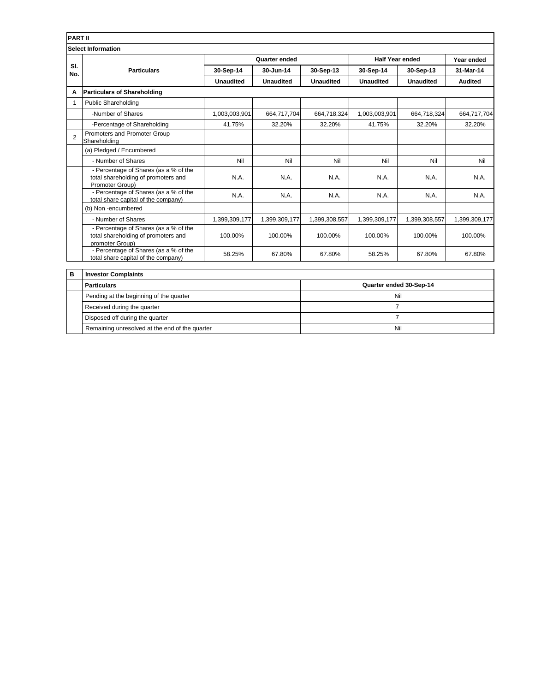| <b>PART II</b> |                                                                                                 |                  |                  |                         |                        |                  |                |
|----------------|-------------------------------------------------------------------------------------------------|------------------|------------------|-------------------------|------------------------|------------------|----------------|
|                | <b>Select Information</b>                                                                       |                  |                  |                         |                        |                  |                |
|                | <b>Particulars</b>                                                                              | Quarter ended    |                  |                         | <b>Half Year ended</b> |                  | Year ended     |
| SI.<br>No.     |                                                                                                 | 30-Sep-14        | 30-Jun-14        | 30-Sep-13               | 30-Sep-14              | 30-Sep-13        | 31-Mar-14      |
|                |                                                                                                 | <b>Unaudited</b> | <b>Unaudited</b> | <b>Unaudited</b>        | <b>Unaudited</b>       | <b>Unaudited</b> | <b>Audited</b> |
| A              | <b>Particulars of Shareholding</b>                                                              |                  |                  |                         |                        |                  |                |
| 1              | <b>Public Shareholding</b>                                                                      |                  |                  |                         |                        |                  |                |
|                | -Number of Shares                                                                               | 1,003,003,901    | 664,717,704      | 664,718,324             | 1,003,003,901          | 664,718,324      | 664,717,704    |
|                | -Percentage of Shareholding                                                                     | 41.75%           | 32.20%           | 32.20%                  | 41.75%                 | 32.20%           | 32.20%         |
| $\overline{2}$ | Promoters and Promoter Group<br>Shareholding                                                    |                  |                  |                         |                        |                  |                |
|                | (a) Pledged / Encumbered                                                                        |                  |                  |                         |                        |                  |                |
|                | - Number of Shares                                                                              | Nil              | Nil              | Nil                     | Nil                    | Nil              | Nil            |
|                | - Percentage of Shares (as a % of the<br>total shareholding of promoters and<br>Promoter Group) | N.A.             | N.A.             | N.A.                    | N.A.                   | N.A.             | N.A.           |
|                | - Percentage of Shares (as a % of the<br>total share capital of the company)                    | N.A.             | N.A.             | N.A.                    | N.A.                   | N.A.             | N.A.           |
|                | (b) Non-encumbered                                                                              |                  |                  |                         |                        |                  |                |
|                | - Number of Shares                                                                              | 1,399,309,177    | 1,399,309,177    | 1,399,308,557           | 1,399,309,177          | 1,399,308,557    | 1,399,309,177  |
|                | - Percentage of Shares (as a % of the<br>total shareholding of promoters and<br>promoter Group) | 100.00%          | 100.00%          | 100.00%                 | 100.00%                | 100.00%          | 100.00%        |
|                | - Percentage of Shares (as a % of the<br>total share capital of the company)                    | 58.25%           | 67.80%           | 67.80%                  | 58.25%                 | 67.80%           | 67.80%         |
| B              | <b>Investor Complaints</b>                                                                      |                  |                  |                         |                        |                  |                |
|                | <b>Particulars</b>                                                                              |                  |                  | Quarter ended 30-Sep-14 |                        |                  |                |

| <b>Particulars</b>                             | Quarter ended 30-Sep-14 |
|------------------------------------------------|-------------------------|
| Pending at the beginning of the quarter        | Nil                     |
| Received during the quarter                    |                         |
| Disposed off during the quarter                |                         |
| Remaining unresolved at the end of the quarter | Nil                     |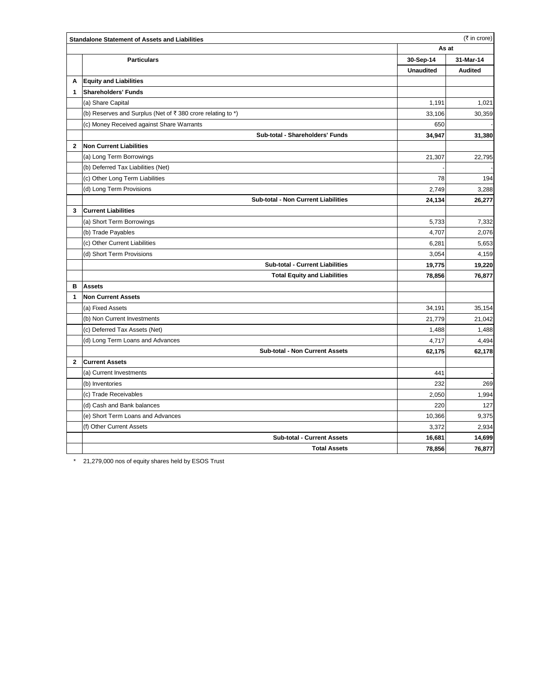|              | (₹ in crore)<br><b>Standalone Statement of Assets and Liabilities</b> |                  |                |  |  |
|--------------|-----------------------------------------------------------------------|------------------|----------------|--|--|
|              |                                                                       | As at            |                |  |  |
|              | <b>Particulars</b>                                                    | 30-Sep-14        | 31-Mar-14      |  |  |
|              |                                                                       | <b>Unaudited</b> | <b>Audited</b> |  |  |
| A            | <b>Equity and Liabilities</b>                                         |                  |                |  |  |
| $\mathbf{1}$ | <b>Shareholders' Funds</b>                                            |                  |                |  |  |
|              | (a) Share Capital                                                     | 1,191            | 1,021          |  |  |
|              | (b) Reserves and Surplus (Net of ₹380 crore relating to *)            | 33,106           | 30,359         |  |  |
|              | (c) Money Received against Share Warrants                             | 650              |                |  |  |
|              | Sub-total - Shareholders' Funds                                       | 34,947           | 31,380         |  |  |
| $\mathbf{2}$ | Non Current Liabilities                                               |                  |                |  |  |
|              | (a) Long Term Borrowings                                              | 21,307           | 22,795         |  |  |
|              | (b) Deferred Tax Liabilities (Net)                                    |                  |                |  |  |
|              | (c) Other Long Term Liabilities                                       | 78               | 194            |  |  |
|              | (d) Long Term Provisions                                              | 2,749            | 3,288          |  |  |
|              | Sub-total - Non Current Liabilities                                   | 24,134           | 26,277         |  |  |
| 3            | <b>Current Liabilities</b>                                            |                  |                |  |  |
|              | (a) Short Term Borrowings                                             | 5,733            | 7,332          |  |  |
|              | (b) Trade Payables                                                    | 4,707            | 2,076          |  |  |
|              | (c) Other Current Liabilities                                         | 6,281            | 5,653          |  |  |
|              | (d) Short Term Provisions                                             | 3,054            | 4,159          |  |  |
|              | <b>Sub-total - Current Liabilities</b>                                | 19,775           | 19,220         |  |  |
|              | <b>Total Equity and Liabilities</b>                                   | 78,856           | 76,877         |  |  |
| в            | <b>Assets</b>                                                         |                  |                |  |  |
| 1            | <b>Non Current Assets</b>                                             |                  |                |  |  |
|              | (a) Fixed Assets                                                      | 34,191           | 35,154         |  |  |
|              | (b) Non Current Investments                                           | 21,779           | 21,042         |  |  |
|              | (c) Deferred Tax Assets (Net)                                         | 1,488            | 1,488          |  |  |
|              | (d) Long Term Loans and Advances                                      | 4,717            | 4,494          |  |  |
|              | Sub-total - Non Current Assets                                        | 62,175           | 62,178         |  |  |
| $\mathbf{2}$ | <b>Current Assets</b>                                                 |                  |                |  |  |
|              | (a) Current Investments                                               | 441              |                |  |  |
|              | (b) Inventories                                                       | 232              | 269            |  |  |
|              | (c) Trade Receivables                                                 | 2,050            | 1,994          |  |  |
|              | (d) Cash and Bank balances                                            | 220              | 127            |  |  |
|              | (e) Short Term Loans and Advances                                     | 10,366           | 9,375          |  |  |
|              | (f) Other Current Assets                                              | 3,372            | 2,934          |  |  |
|              | <b>Sub-total - Current Assets</b>                                     | 16,681           | 14,699         |  |  |
|              | <b>Total Assets</b>                                                   | 78,856           | 76,877         |  |  |

\* 21,279,000 nos of equity shares held by ESOS Trust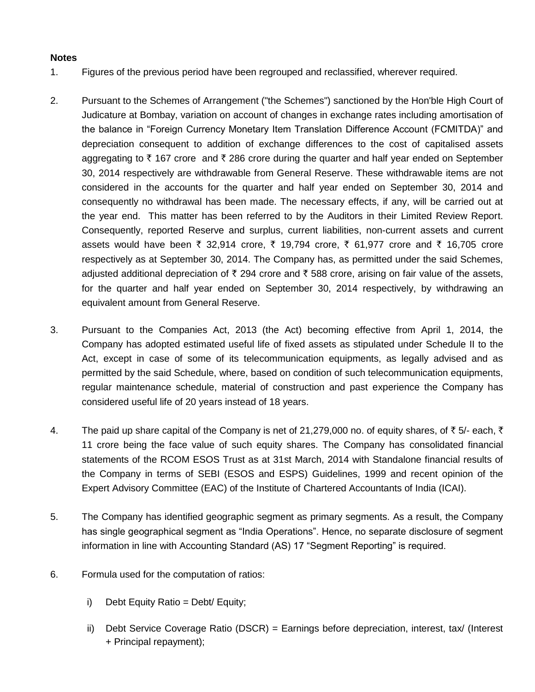## **Notes**

- 1. Figures of the previous period have been regrouped and reclassified, wherever required.
- 2. Pursuant to the Schemes of Arrangement ("the Schemes") sanctioned by the Hon'ble High Court of Judicature at Bombay, variation on account of changes in exchange rates including amortisation of the balance in "Foreign Currency Monetary Item Translation Difference Account (FCMITDA)" and depreciation consequent to addition of exchange differences to the cost of capitalised assets aggregating to  $\bar{\tau}$  167 crore and  $\bar{\tau}$  286 crore during the quarter and half year ended on September 30, 2014 respectively are withdrawable from General Reserve. These withdrawable items are not considered in the accounts for the quarter and half year ended on September 30, 2014 and consequently no withdrawal has been made. The necessary effects, if any, will be carried out at the year end. This matter has been referred to by the Auditors in their Limited Review Report. Consequently, reported Reserve and surplus, current liabilities, non-current assets and current assets would have been ₹ 32,914 crore, ₹ 19,794 crore, ₹ 61,977 crore and ₹ 16,705 crore respectively as at September 30, 2014. The Company has, as permitted under the said Schemes, adjusted additional depreciation of  $\bar{\tau}$  294 crore and  $\bar{\tau}$  588 crore, arising on fair value of the assets, for the quarter and half year ended on September 30, 2014 respectively, by withdrawing an equivalent amount from General Reserve.
- 3. Pursuant to the Companies Act, 2013 (the Act) becoming effective from April 1, 2014, the Company has adopted estimated useful life of fixed assets as stipulated under Schedule II to the Act, except in case of some of its telecommunication equipments, as legally advised and as permitted by the said Schedule, where, based on condition of such telecommunication equipments, regular maintenance schedule, material of construction and past experience the Company has considered useful life of 20 years instead of 18 years.
- 4. The paid up share capital of the Company is net of 21,279,000 no. of equity shares, of  $\bar{\tau}$  5/- each,  $\bar{\tau}$ 11 crore being the face value of such equity shares. The Company has consolidated financial statements of the RCOM ESOS Trust as at 31st March, 2014 with Standalone financial results of the Company in terms of SEBI (ESOS and ESPS) Guidelines, 1999 and recent opinion of the Expert Advisory Committee (EAC) of the Institute of Chartered Accountants of India (ICAI).
- 5. The Company has identified geographic segment as primary segments. As a result, the Company has single geographical segment as "India Operations". Hence, no separate disclosure of segment information in line with Accounting Standard (AS) 17 "Segment Reporting" is required.
- 6. Formula used for the computation of ratios:
	- i) Debt Equity Ratio = Debt/ Equity;
	- ii) Debt Service Coverage Ratio (DSCR) = Earnings before depreciation, interest, tax/ (Interest + Principal repayment);